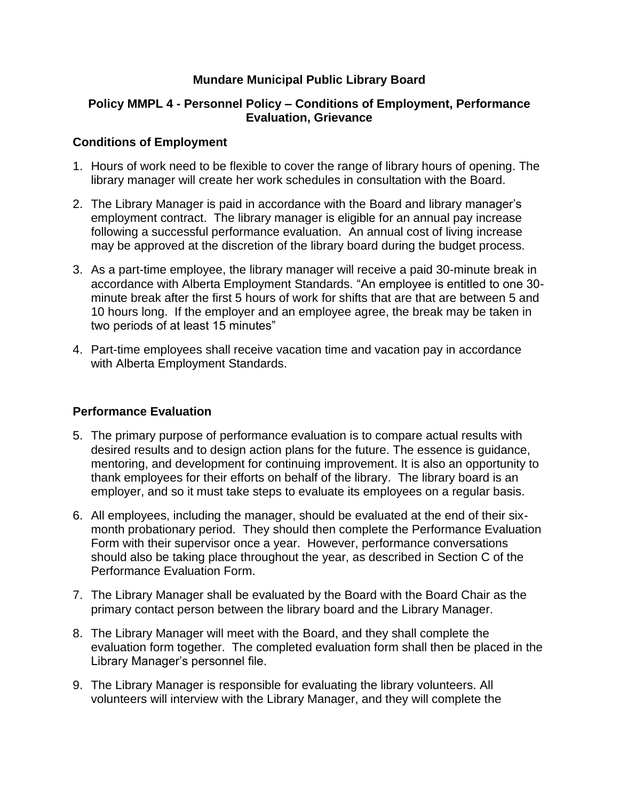# **Mundare Municipal Public Library Board**

## **Policy MMPL 4 - Personnel Policy – Conditions of Employment, Performance Evaluation, Grievance**

## **Conditions of Employment**

- 1. Hours of work need to be flexible to cover the range of library hours of opening. The library manager will create her work schedules in consultation with the Board.
- 2. The Library Manager is paid in accordance with the Board and library manager's employment contract. The library manager is eligible for an annual pay increase following a successful performance evaluation. An annual cost of living increase may be approved at the discretion of the library board during the budget process.
- 3. As a part-time employee, the library manager will receive a paid 30-minute break in accordance with Alberta Employment Standards. "An employee is entitled to one 30 minute break after the first 5 hours of work for shifts that are that are between 5 and 10 hours long. If the employer and an employee agree, the break may be taken in two periods of at least 15 minutes"
- 4. Part-time employees shall receive vacation time and vacation pay in accordance with Alberta Employment Standards.

## **Performance Evaluation**

- 5. The primary purpose of performance evaluation is to compare actual results with desired results and to design action plans for the future. The essence is guidance, mentoring, and development for continuing improvement. It is also an opportunity to thank employees for their efforts on behalf of the library. The library board is an employer, and so it must take steps to evaluate its employees on a regular basis.
- 6. All employees, including the manager, should be evaluated at the end of their sixmonth probationary period. They should then complete the Performance Evaluation Form with their supervisor once a year. However, performance conversations should also be taking place throughout the year, as described in Section C of the Performance Evaluation Form.
- 7. The Library Manager shall be evaluated by the Board with the Board Chair as the primary contact person between the library board and the Library Manager.
- 8. The Library Manager will meet with the Board, and they shall complete the evaluation form together. The completed evaluation form shall then be placed in the Library Manager's personnel file.
- 9. The Library Manager is responsible for evaluating the library volunteers. All volunteers will interview with the Library Manager, and they will complete the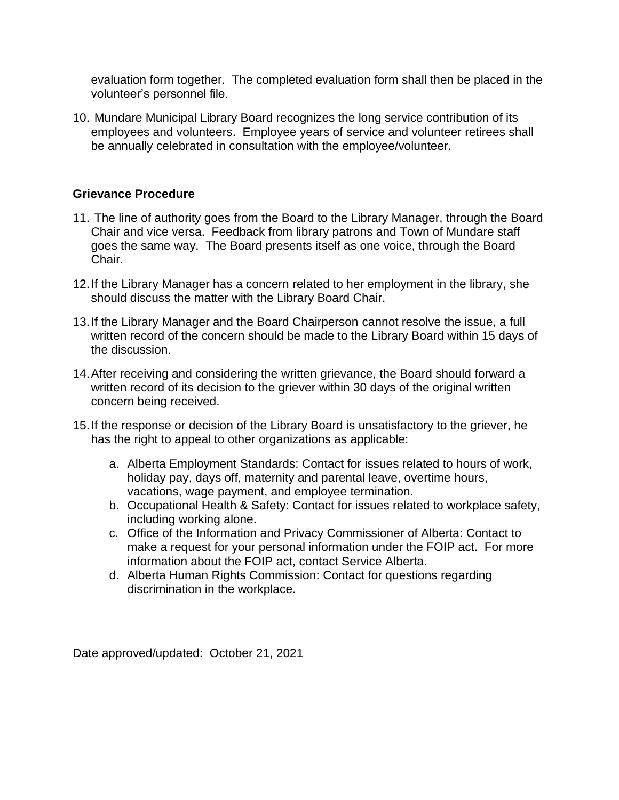evaluation form together. The completed evaluation form shall then be placed in the volunteer's personnel file.

10. Mundare Municipal Library Board recognizes the long service contribution of its employees and volunteers. Employee years of service and volunteer retirees shall be annually celebrated in consultation with the employee/volunteer.

# **Grievance Procedure**

- 11. The line of authority goes from the Board to the Library Manager, through the Board Chair and vice versa. Feedback from library patrons and Town of Mundare staff goes the same way. The Board presents itself as one voice, through the Board Chair.
- 12.If the Library Manager has a concern related to her employment in the library, she should discuss the matter with the Library Board Chair.
- 13.If the Library Manager and the Board Chairperson cannot resolve the issue, a full written record of the concern should be made to the Library Board within 15 days of the discussion.
- 14.After receiving and considering the written grievance, the Board should forward a written record of its decision to the griever within 30 days of the original written concern being received.
- 15.If the response or decision of the Library Board is unsatisfactory to the griever, he has the right to appeal to other organizations as applicable:
	- a. Alberta Employment Standards: Contact for issues related to hours of work, holiday pay, days off, maternity and parental leave, overtime hours, vacations, wage payment, and employee termination.
	- b. Occupational Health & Safety: Contact for issues related to workplace safety, including working alone.
	- c. Office of the Information and Privacy Commissioner of Alberta: Contact to make a request for your personal information under the FOIP act. For more information about the FOIP act, contact Service Alberta.
	- d. Alberta Human Rights Commission: Contact for questions regarding discrimination in the workplace.

Date approved/updated: October 21, 2021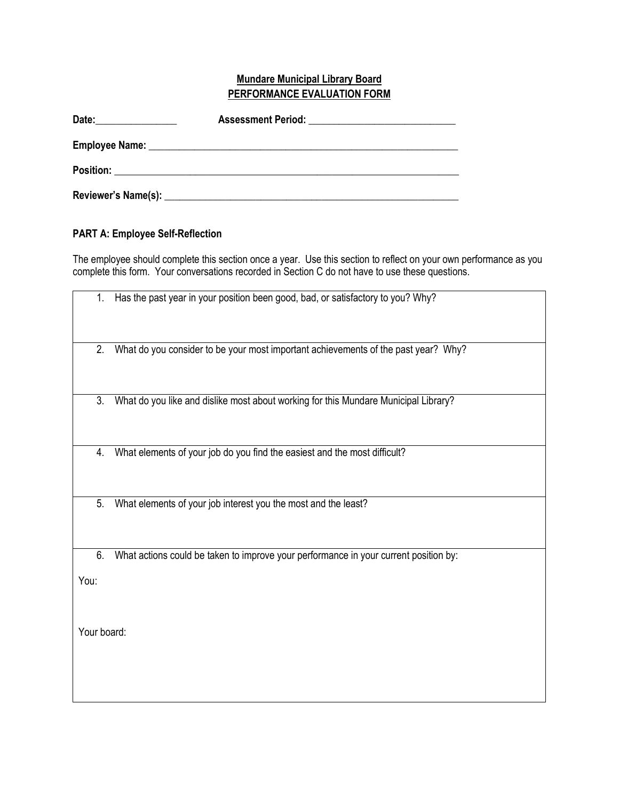## **Mundare Municipal Library Board PERFORMANCE EVALUATION FORM**

| Date: |                                                                                                                                                                                                                                |  |
|-------|--------------------------------------------------------------------------------------------------------------------------------------------------------------------------------------------------------------------------------|--|
|       | Employee Name: Name: Name: Name: Name: Name: Name: Name: Name: Name: Name: Name: Name: Name: Name: Name: Name: Name: Name: Name: Name: Name: Name: Name: Name: Name: Name: Name: Name: Name: Name: Name: Name: Name: Name: Nam |  |
|       |                                                                                                                                                                                                                                |  |
|       | Reviewer's Name(s): Name (s) and the set of the set of the set of the set of the set of the set of the set of the set of the set of the set of the set of the set of the set of the set of the set of the set of the set of th |  |

## **PART A: Employee Self-Reflection**

The employee should complete this section once a year. Use this section to reflect on your own performance as you complete this form. Your conversations recorded in Section C do not have to use these questions.

| 1.          | Has the past year in your position been good, bad, or satisfactory to you? Why?      |
|-------------|--------------------------------------------------------------------------------------|
| 2.          | What do you consider to be your most important achievements of the past year? Why?   |
| 3.          | What do you like and dislike most about working for this Mundare Municipal Library?  |
| 4.          | What elements of your job do you find the easiest and the most difficult?            |
| 5.          | What elements of your job interest you the most and the least?                       |
| 6.          | What actions could be taken to improve your performance in your current position by: |
| You:        |                                                                                      |
| Your board: |                                                                                      |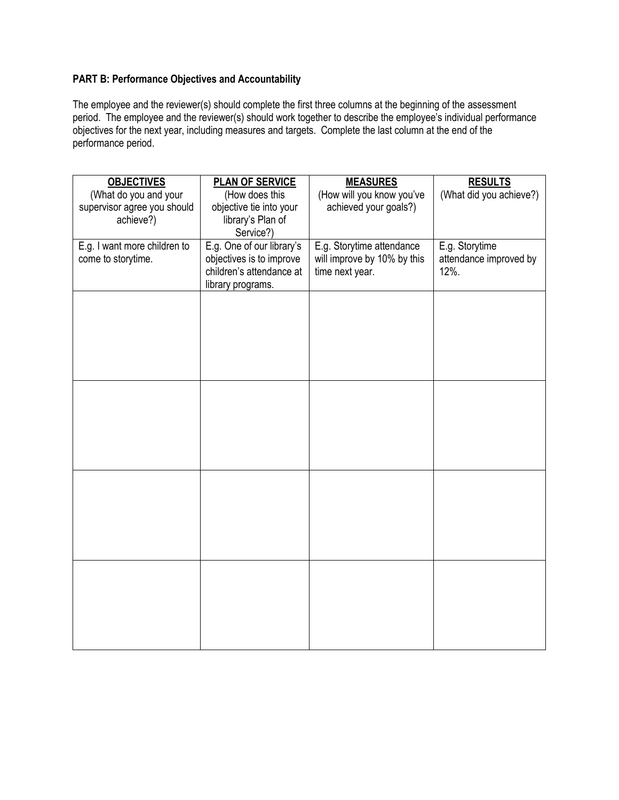# **PART B: Performance Objectives and Accountability**

The employee and the reviewer(s) should complete the first three columns at the beginning of the assessment period. The employee and the reviewer(s) should work together to describe the employee's individual performance objectives for the next year, including measures and targets. Complete the last column at the end of the performance period.

| <b>OBJECTIVES</b><br><b>PLAN OF SERVICE</b><br><b>MEASURES</b><br><b>RESULTS</b>                         |  |
|----------------------------------------------------------------------------------------------------------|--|
| (How does this<br>(What do you and your<br>(How will you know you've<br>(What did you achieve?)          |  |
| achieved your goals?)<br>supervisor agree you should<br>objective tie into your                          |  |
| library's Plan of<br>achieve?)                                                                           |  |
| Service?)                                                                                                |  |
| E.g. One of our library's<br>E.g. I want more children to<br>E.g. Storytime attendance<br>E.g. Storytime |  |
| objectives is to improve<br>will improve by 10% by this<br>attendance improved by<br>come to storytime.  |  |
| children's attendance at<br>time next year.<br>12%.                                                      |  |
| library programs.                                                                                        |  |
|                                                                                                          |  |
|                                                                                                          |  |
|                                                                                                          |  |
|                                                                                                          |  |
|                                                                                                          |  |
|                                                                                                          |  |
|                                                                                                          |  |
|                                                                                                          |  |
|                                                                                                          |  |
|                                                                                                          |  |
|                                                                                                          |  |
|                                                                                                          |  |
|                                                                                                          |  |
|                                                                                                          |  |
|                                                                                                          |  |
|                                                                                                          |  |
|                                                                                                          |  |
|                                                                                                          |  |
|                                                                                                          |  |
|                                                                                                          |  |
|                                                                                                          |  |
|                                                                                                          |  |
|                                                                                                          |  |
|                                                                                                          |  |
|                                                                                                          |  |
|                                                                                                          |  |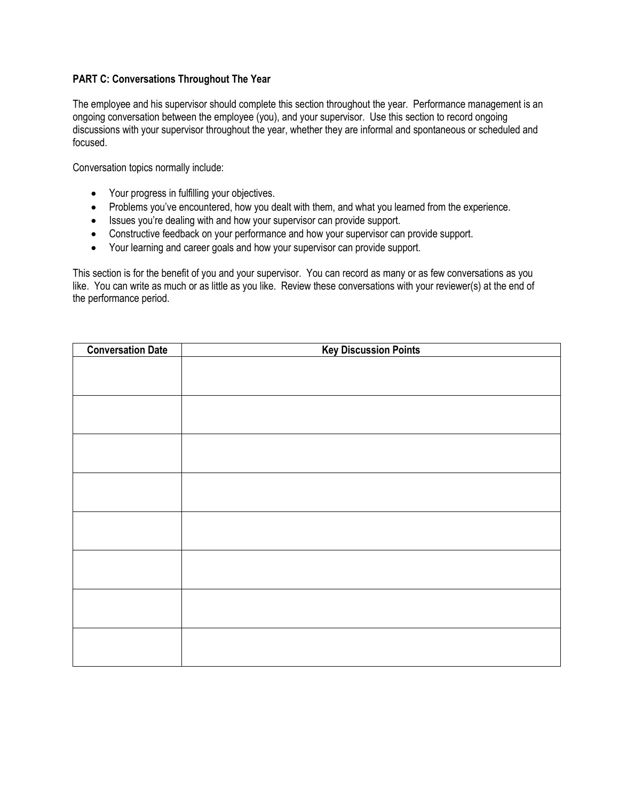#### **PART C: Conversations Throughout The Year**

The employee and his supervisor should complete this section throughout the year. Performance management is an ongoing conversation between the employee (you), and your supervisor. Use this section to record ongoing discussions with your supervisor throughout the year, whether they are informal and spontaneous or scheduled and focused.

Conversation topics normally include:

- Your progress in fulfilling your objectives.
- Problems you've encountered, how you dealt with them, and what you learned from the experience.
- Issues you're dealing with and how your supervisor can provide support.
- Constructive feedback on your performance and how your supervisor can provide support.
- Your learning and career goals and how your supervisor can provide support.

This section is for the benefit of you and your supervisor. You can record as many or as few conversations as you like. You can write as much or as little as you like. Review these conversations with your reviewer(s) at the end of the performance period.

| <b>Conversation Date</b> | <b>Key Discussion Points</b> |
|--------------------------|------------------------------|
|                          |                              |
|                          |                              |
|                          |                              |
|                          |                              |
|                          |                              |
|                          |                              |
|                          |                              |
|                          |                              |
|                          |                              |
|                          |                              |
|                          |                              |
|                          |                              |
|                          |                              |
|                          |                              |
|                          |                              |
|                          |                              |
|                          |                              |
|                          |                              |
|                          |                              |
|                          |                              |
|                          |                              |
|                          |                              |
|                          |                              |